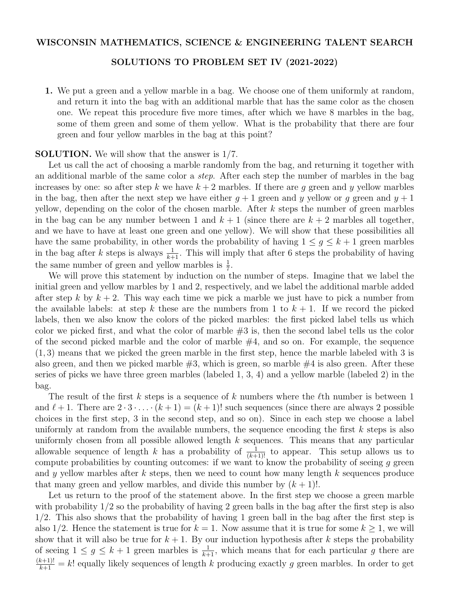## WISCONSIN MATHEMATICS, SCIENCE & ENGINEERING TALENT SEARCH

## SOLUTIONS TO PROBLEM SET IV (2021-2022)

1. We put a green and a yellow marble in a bag. We choose one of them uniformly at random, and return it into the bag with an additional marble that has the same color as the chosen one. We repeat this procedure five more times, after which we have 8 marbles in the bag, some of them green and some of them yellow. What is the probability that there are four green and four yellow marbles in the bag at this point?

## SOLUTION. We will show that the answer is 1*/*7.

Let us call the act of choosing a marble randomly from the bag, and returning it together with an additional marble of the same color a *step*. After each step the number of marbles in the bag increases by one: so after step *k* we have  $k+2$  marbles. If there are *g* green and *y* yellow marbles in the bag, then after the next step we have either  $q + 1$  green and *y* yellow or *q* green and  $y + 1$ yellow, depending on the color of the chosen marble. After *k* steps the number of green marbles in the bag can be any number between 1 and  $k + 1$  (since there are  $k + 2$  marbles all together, and we have to have at least one green and one yellow). We will show that these possibilities all have the same probability, in other words the probability of having  $1 \leq g \leq k+1$  green marbles in the bag after *k* steps is always  $\frac{1}{k+1}$ . This will imply that after 6 steps the probability of having the same number of green and yellow marbles is  $\frac{1}{7}$ .

We will prove this statement by induction on the number of steps. Imagine that we label the initial green and yellow marbles by 1 and 2, respectively, and we label the additional marble added after step  $k$  by  $k + 2$ . This way each time we pick a marble we just have to pick a number from the available labels: at step  $k$  these are the numbers from 1 to  $k + 1$ . If we record the picked labels, then we also know the colors of the picked marbles: the first picked label tells us which color we picked first, and what the color of marble  $\#3$  is, then the second label tells us the color of the second picked marble and the color of marble  $#4$ , and so on. For example, the sequence (1*,* 3) means that we picked the green marble in the first step, hence the marble labeled with 3 is also green, and then we picked marble  $#3$ , which is green, so marble  $#4$  is also green. After these series of picks we have three green marbles (labeled 1, 3, 4) and a yellow marble (labeled 2) in the bag.

The result of the first  $k$  steps is a sequence of  $k$  numbers where the  $\ell$ th number is between 1 and  $\ell + 1$ . There are  $2 \cdot 3 \cdot \ldots \cdot (k+1) = (k+1)!$  such sequences (since there are always 2 possible choices in the first step, 3 in the second step, and so on). Since in each step we choose a label uniformly at random from the available numbers, the sequence encoding the first *k* steps is also uniformly chosen from all possible allowed length *k* sequences. This means that any particular allowable sequence of length *k* has a probability of  $\frac{1}{(k+1)!}$  to appear. This setup allows us to compute probabilities by counting outcomes: if we want to know the probability of seeing *g* green and *y* yellow marbles after *k* steps, then we need to count how many length *k* sequences produce that many green and yellow marbles, and divide this number by  $(k + 1)!$ .

Let us return to the proof of the statement above. In the first step we choose a green marble with probability  $1/2$  so the probability of having 2 green balls in the bag after the first step is also 1*/*2. This also shows that the probability of having 1 green ball in the bag after the first step is also  $1/2$ . Hence the statement is true for  $k = 1$ . Now assume that it is true for some  $k \geq 1$ , we will show that it will also be true for  $k + 1$ . By our induction hypothesis after  $k$  steps the probability of seeing  $1 \leq g \leq k+1$  green marbles is  $\frac{1}{k+1}$ , which means that for each particular g there are  $\frac{(k+1)!}{k+1} = k!$  equally likely sequences of length *k* producing exactly *g* green marbles. In order to get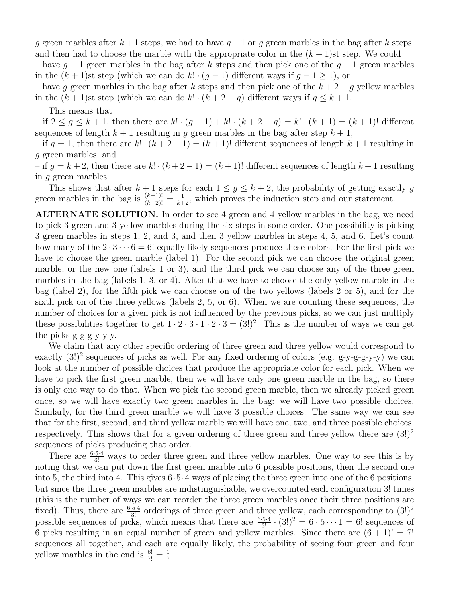*g* green marbles after  $k+1$  steps, we had to have  $g-1$  or *g* green marbles in the bag after *k* steps, and then had to choose the marble with the appropriate color in the  $(k+1)$ st step. We could

– have  $g-1$  green marbles in the bag after k steps and then pick one of the  $g-1$  green marbles in the  $(k+1)$ st step (which we can do  $k! \cdot (q-1)$ ) different ways if  $q-1 \geq 1$ ), or

– have g green marbles in the bag after k steps and then pick one of the  $k + 2 - g$  yellow marbles in the  $(k + 1)$ st step (which we can do  $k! \cdot (k + 2 - g)$  different ways if  $g \leq k + 1$ .

This means that

 $-$  if  $2 \leq g \leq k+1$ , then there are  $k! \cdot (g-1) + k! \cdot (k+2-g) = k! \cdot (k+1) = (k+1)!$  different sequences of length  $k + 1$  resulting in *g* green marbles in the bag after step  $k + 1$ ,

 $-$  if  $g = 1$ , then there are  $k! \cdot (k+2-1) = (k+1)!$  different sequences of length  $k+1$  resulting in *g* green marbles, and

– if  $g = k + 2$ , then there are  $k! \cdot (k + 2 - 1) = (k + 1)!$  different sequences of length  $k + 1$  resulting in *g* green marbles.

This shows that after  $k+1$  steps for each  $1 \leq g \leq k+2$ , the probability of getting exactly g green marbles in the bag is  $\frac{(k+1)!}{(k+2)!} = \frac{1}{k+2}$ , which proves the induction step and our statement.

ALTERNATE SOLUTION. In order to see 4 green and 4 yellow marbles in the bag, we need to pick 3 green and 3 yellow marbles during the six steps in some order. One possibility is picking 3 green marbles in steps 1, 2, and 3, and then 3 yellow marbles in steps 4, 5, and 6. Let's count how many of the  $2 \cdot 3 \cdot \cdot \cdot 6 = 6!$  equally likely sequences produce these colors. For the first pick we have to choose the green marble (label 1). For the second pick we can choose the original green marble, or the new one (labels 1 or 3), and the third pick we can choose any of the three green marbles in the bag (labels 1, 3, or 4). After that we have to choose the only yellow marble in the bag (label 2), for the fifth pick we can choose on of the two yellows (labels 2 or 5), and for the sixth pick on of the three yellows (labels 2, 5, or 6). When we are counting these sequences, the number of choices for a given pick is not influenced by the previous picks, so we can just multiply these possibilities together to get  $1 \cdot 2 \cdot 3 \cdot 1 \cdot 2 \cdot 3 = (3!)^2$ . This is the number of ways we can get the picks g-g-g-y-y-y.

We claim that any other specific ordering of three green and three yellow would correspond to exactly  $(3!)^2$  sequences of picks as well. For any fixed ordering of colors (e.g. g-y-g-g-y-y) we can look at the number of possible choices that produce the appropriate color for each pick. When we have to pick the first green marble, then we will have only one green marble in the bag, so there is only one way to do that. When we pick the second green marble, then we already picked green once, so we will have exactly two green marbles in the bag: we will have two possible choices. Similarly, for the third green marble we will have 3 possible choices. The same way we can see that for the first, second, and third yellow marble we will have one, two, and three possible choices, respectively. This shows that for a given ordering of three green and three yellow there are  $(3!)^2$ sequences of picks producing that order.

There are  $\frac{6 \cdot 5 \cdot 4}{3!}$  ways to order three green and three yellow marbles. One way to see this is by noting that we can put down the first green marble into 6 possible positions, then the second one into 5, the third into 4. This gives 6*·*5*·*4 ways of placing the three green into one of the 6 positions, but since the three green marbles are indistinguishable, we overcounted each configuration 3! times (this is the number of ways we can reorder the three green marbles once their three positions are fixed). Thus, there are  $\frac{6\cdot5\cdot4}{3!}$  orderings of three green and three yellow, each corresponding to  $(3!)^2$ possible sequences of picks, which means that there are  $\frac{6\cdot5\cdot4}{3!} \cdot (3!)^2 = 6 \cdot 5 \cdot \cdot \cdot 1 = 6!$  sequences of 6 picks resulting in an equal number of green and yellow marbles. Since there are  $(6 + 1)! = 7!$ sequences all together, and each are equally likely, the probability of seeing four green and four yellow marbles in the end is  $\frac{6!}{7!} = \frac{1}{7}$ .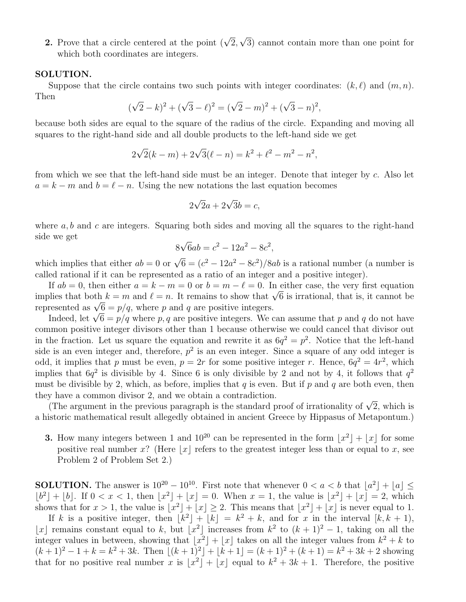**2.** Prove that a circle centered at the point  $(\sqrt{2}, \sqrt{3})$  cannot contain more than one point for which both coordinates are integers.

## SOLUTION.

Suppose that the circle contains two such points with integer coordinates:  $(k, \ell)$  and  $(m, n)$ . Then

$$
(\sqrt{2} - k)^2 + (\sqrt{3} - \ell)^2 = (\sqrt{2} - m)^2 + (\sqrt{3} - n)^2,
$$

because both sides are equal to the square of the radius of the circle. Expanding and moving all squares to the right-hand side and all double products to the left-hand side we get

$$
2\sqrt{2}(k-m) + 2\sqrt{3}(\ell - n) = k^2 + \ell^2 - m^2 - n^2,
$$

from which we see that the left-hand side must be an integer. Denote that integer by *c*. Also let  $a = k - m$  and  $b = \ell - n$ . Using the new notations the last equation becomes

$$
2\sqrt{2}a + 2\sqrt{3}b = c,
$$

where *a, b* and *c* are integers. Squaring both sides and moving all the squares to the right-hand side we get

$$
8\sqrt{6}ab = c^2 - 12a^2 - 8c^2,
$$

which implies that either  $ab = 0$  or  $\sqrt{6} = (c^2 - 12a^2 - 8c^2)/8ab$  is a rational number (a number is called rational if it can be represented as a ratio of an integer and a positive integer).

If  $ab = 0$ , then either  $a = k - m = 0$  or  $b = m - \ell = 0$ . In either case, the very first equation implies that both  $k = m$  and  $\ell = n$ . It remains to show that  $\sqrt{6}$  is irrational, that is, it cannot be represented as  $\sqrt{6} = p/q$ , where *p* and *q* are positive integers.

Indeed, let  $\sqrt{6} = p/q$  where *p*, *q* are positive integers. We can assume that *p* and *q* do not have common positive integer divisors other than 1 because otherwise we could cancel that divisor out in the fraction. Let us square the equation and rewrite it as  $6q^2 = p^2$ . Notice that the left-hand side is an even integer and, therefore,  $p^2$  is an even integer. Since a square of any odd integer is odd, it implies that *p* must be even,  $p = 2r$  for some positive integer *r*. Hence,  $6q^2 = 4r^2$ , which implies that  $6q^2$  is divisible by 4. Since 6 is only divisible by 2 and not by 4, it follows that  $q^2$ must be divisible by 2, which, as before, implies that  $q$  is even. But if  $p$  and  $q$  are both even, then they have a common divisor 2, and we obtain a contradiction.

(The argument in the previous paragraph is the standard proof of irrationality of  $\sqrt{2}$ , which is a historic mathematical result allegedly obtained in ancient Greece by Hippasus of Metapontum.)

**3.** How many integers between 1 and  $10^{20}$  can be represented in the form  $|x^2| + |x|$  for some positive real number *x*? (Here |*x*| refers to the greatest integer less than or equal to *x*, see Problem 2 of Problem Set 2.)

**SOLUTION.** The answer is  $10^{20} - 10^{10}$ . First note that whenever  $0 < a < b$  that  $|a^2| + |a| <$  $\lfloor b^2 \rfloor + \lfloor b \rfloor$ . If  $0 < x < 1$ , then  $\lfloor x^2 \rfloor + \lfloor x \rfloor = 0$ . When  $x = 1$ , the value is  $\lfloor x^2 \rfloor + \lfloor x \rfloor = 2$ , which shows that for  $x > 1$ , the value is  $|x^2| + |x| \ge 2$ . This means that  $|x^2| + |x|$  is never equal to 1.

If *k* is a positive integer, then  $\overline{|\vec{k}^2| + |\vec{k}|} = \overline{k^2 + k}$ , and for *x* in the interval  $\overline{|\vec{k}, k + 1}$ , |x| remains constant equal to *k*, but  $\lfloor x^2 \rfloor$  increases from  $k^2$  to  $(k+1)^2 - 1$ , taking on all the integer values in between, showing that  $\bar{x}^2 + \bar{x}$  takes on all the integer values from  $k^2 + k$  to  $(k+1)^2 - 1 + k = k^2 + 3k$ . Then  $[(k+1)^2] + [k+1] = (k+1)^2 + (k+1) = k^2 + 3k + 2$  showing that for no positive real number *x* is  $|x^2| + |x|$  equal to  $k^2 + 3k + 1$ . Therefore, the positive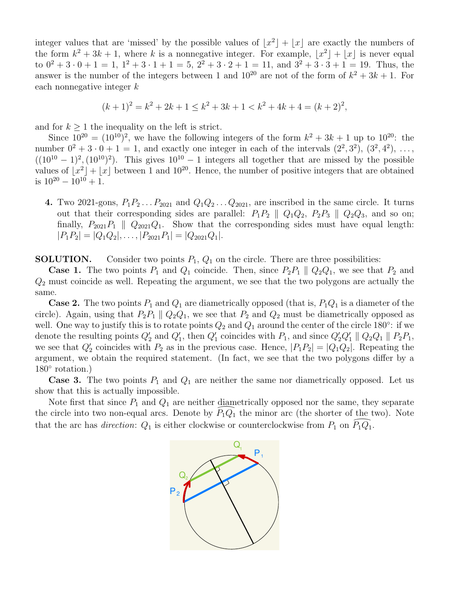integer values that are 'missed' by the possible values of  $|x^2| + |x|$  are exactly the numbers of the form  $k^2 + 3k + 1$ , where k is a nonnegative integer. For example,  $|x^2| + |x|$  is never equal to  $0^2 + 3 \cdot 0 + 1 = 1$ ,  $1^2 + 3 \cdot 1 + 1 = 5$ ,  $2^2 + 3 \cdot 2 + 1 = 11$ , and  $3^2 + 3 \cdot 3 + 1 = 19$ . Thus, the answer is the number of the integers between 1 and  $10^{20}$  are not of the form of  $k^2 + 3k + 1$ . For each nonnegative integer *k*

 $(k+1)^2 = k^2 + 2k + 1 \leq k^2 + 3k + 1 < k^2 + 4k + 4 = (k+2)^2,$ 

and for  $k \geq 1$  the inequality on the left is strict.

Since  $10^{20} = (10^{10})^2$ , we have the following integers of the form  $k^2 + 3k + 1$  up to  $10^{20}$ : the number  $0^2 + 3 \cdot 0 + 1 = 1$ , and exactly one integer in each of the intervals  $(2^2, 3^2)$ ,  $(3^2, 4^2)$ , ...,  $((10^{10} - 1)^2, (10^{10})^2)$ . This gives  $10^{10} - 1$  integers all together that are missed by the possible values of  $\lfloor x^2 \rfloor + \lfloor x \rfloor$  between 1 and 10<sup>20</sup>. Hence, the number of positive integers that are obtained is  $10^{20} - 10^{10} + 1$ .

4. Two 2021-gons,  $P_1P_2 \ldots P_{2021}$  and  $Q_1Q_2 \ldots Q_{2021}$ , are inscribed in the same circle. It turns out that their corresponding sides are parallel:  $P_1P_2 \parallel Q_1Q_2$ ,  $P_2P_3 \parallel Q_2Q_3$ , and so on; finally,  $P_{2021}P_1 \parallel Q_{2021}Q_1$ . Show that the corresponding sides must have equal length:  $|P_1P_2| = |Q_1Q_2|, \ldots, |P_{2021}P_1| = |Q_{2021}Q_1|.$ 

**SOLUTION.** Consider two points  $P_1$ ,  $Q_1$  on the circle. There are three possibilities:

**Case 1.** The two points  $P_1$  and  $Q_1$  coincide. Then, since  $P_2P_1 \parallel Q_2Q_1$ , we see that  $P_2$  and *Q*<sup>2</sup> must coincide as well. Repeating the argument, we see that the two polygons are actually the same.

**Case 2.** The two points  $P_1$  and  $Q_1$  are diametrically opposed (that is,  $P_1Q_1$  is a diameter of the circle). Again, using that  $P_2P_1 \parallel Q_2Q_1$ , we see that  $P_2$  and  $Q_2$  must be diametrically opposed as well. One way to justify this is to rotate points  $Q_2$  and  $Q_1$  around the center of the circle 180<sup>o</sup>: if we denote the resulting points  $Q_2'$  and  $Q_1'$ , then  $Q_1'$  coincides with  $P_1$ , and since  $Q_2'Q_1' \parallel Q_2Q_1 \parallel P_2P_1$ , we see that  $Q_2'$  coincides with  $P_2$  as in the previous case. Hence,  $|P_1P_2| = |Q_1Q_2|$ . Repeating the argument, we obtain the required statement. (In fact, we see that the two polygons differ by a  $180^\circ$  rotation.)

**Case 3.** The two points  $P_1$  and  $Q_1$  are neither the same nor diametrically opposed. Let us show that this is actually impossible.

Note first that since  $P_1$  and  $Q_1$  are neither diametrically opposed nor the same, they separate Show that this is actually impossible.<br>Note first that since  $P_1$  and  $Q_1$  are neither diametrically opposed nor the same, they separate<br>the circle into two non-equal arcs. Denote by  $\widehat{P_1Q_1}$  the minor arc (the sho that the arc has *direction*:  $Q_1$  is either clockwise or counterclockwise from  $P_1$  on  $P_1Q_1$ .

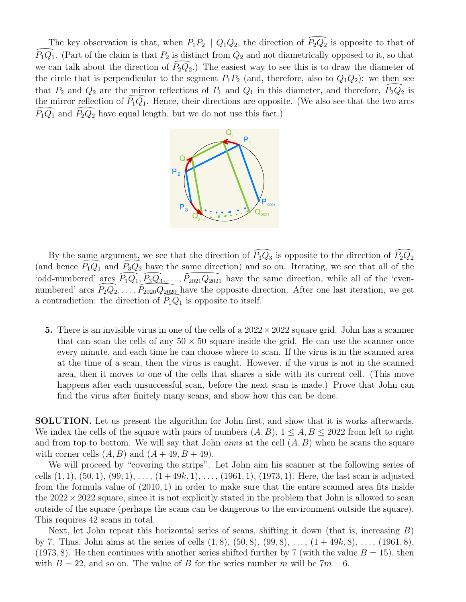The key observation is that, when  $P_1P_2 \parallel Q_1Q_2$ , the direction of  $\widehat{P_2Q_2}$ The key observation is that, when  $P_1P_2 \parallel Q_1Q_2$ , the direction of  $\widehat{P_2Q_2}$  is opposite to that of  $\widehat{P_1Q_1}$ . (Part of the claim is that  $P_2$  is distinct from  $Q_2$  and not diametrically opposed to it, so that  $\widehat{P_1Q_1}$ . (Part of the claim is that  $P_2$  is distinct from  $Q_2$  and not diametrically opposed to it, so that we can talk about the direction of  $\widehat{P_2Q_2}$ .) The easiest way to see this is to draw the diameter of we can talk about the direction of  $P_2Q_2$ .) The easiest way to see this is to draw the diameter of the circle that is perpendicular to the segment  $P_1P_2$  (and, therefore, also to  $Q_1Q_2$ ): we then see<br>that  $P_2$  and  $Q_2$  are the mirror reflections of  $P_1$  and  $Q_1$  in this diameter, and therefore,  $\widehat{P_2Q_2}$  is that  $P_2$  and  $Q_2$  are the mirror reflections of  $P_1$  and  $Q_1$  in this diameter, and therefore,  $P_2Q_2$  is the mirror reflection of  $\widehat{P}_1Q_1$ . Hence, their directions are opposite. (We also see that the two arcs  $\widehat{P}_1Q_1$  and  $\widehat{P}_2Q_2$  have equal length, but we do not use this fact.)  $\frac{\text{miral}}{\widehat{P_1Q_1}}$ 



By the same argument, we see that the direction of  $\widehat{P_3Q_3}$  is opposite to the direction of  $\widehat{P_2Q_2}$ (and hence  $\widehat{P}_1Q_1$  and  $\widehat{P}_3Q_3$  have the same direction) and so on. Iterating, we see that all of the 'odd-numbered' arcs  $\widehat{P}_1Q_1$ ,  $\widehat{P}_3Q_3$ ,...,  $\widehat{P}_{2021}Q_{2021}$  have the same direction, while all of ame argument,<br> $\widehat{P_1Q_1}$  and  $\widehat{P_3Q_3}$ By the same argument, we see that the direction of  $\widehat{P_3Q_3}$  is opposite to the direction of  $\widehat{P_2Q_2}$  (and hence  $\widehat{P_1Q_1}$  and  $\widehat{P_3Q_3}$  have the same direction) and so on. Iterating, we see that all of t numbered' arcs  $P_2Q_2, \ldots, P_{2020}Q_{2020}$  have the opposite direction. After one last iteration, we get  $\frac{\text{arcs}}{P_2Q_2}$ argument, we see the<br>and  $\overline{P_3Q_3}$  have the<br>rcs  $\overline{P_1Q_1}, \overline{P_3Q_3},...$ <br> $\overline{P_2Q_2},...,\overline{P_{2020}Q_{2020}}$ <br>he direction of  $\overline{P_1Q_2}$ bodd-numbered arcs  $P_1Q_1, P_3Q_3, \ldots, P_{2021}Q_{2021}$  have the prosite direction of  $P_1Q_1$  is opposite to itself.

5. There is an invisible virus in one of the cells of a  $2022 \times 2022$  square grid. John has a scanner that can scan the cells of any  $50 \times 50$  square inside the grid. He can use the scanner once every minute, and each time he can choose where to scan. If the virus is in the scanned area at the time of a scan, then the virus is caught. However, if the virus is not in the scanned area, then it moves to one of the cells that shares a side with its current cell. (This move happens after each unsuccessful scan, before the next scan is made.) Prove that John can find the virus after finitely many scans, and show how this can be done.

SOLUTION. Let us present the algorithm for John first, and show that it is works afterwards. We index the cells of the square with pairs of numbers  $(A, B)$ ,  $1 \leq A, B \leq 2022$  from left to right and from top to bottom. We will say that John *aims* at the cell (*A, B*) when he scans the square with corner cells  $(A, B)$  and  $(A + 49, B + 49)$ .

We will proceed by "covering the strips". Let John aim his scanner at the following series of cells  $(1, 1), (50, 1), (99, 1), \ldots, (1+49k, 1), \ldots, (1961, 1), (1973, 1)$ . Here, the last scan is adjusted from the formula value of (2010*,* 1) in order to make sure that the entire scanned area fits inside the  $2022 \times 2022$  square, since it is not explicitly stated in the problem that John is allowed to scan outside of the square (perhaps the scans can be dangerous to the environment outside the square). This requires 42 scans in total.

Next, let John repeat this horizontal series of scans, shifting it down (that is, increasing *B*) by 7. Thus, John aims at the series of cells (1*,* 8), (50*,* 8), (99*,* 8), . . . , (1 + 49*k,* 8), . . . , (1961*,* 8), (1973, 8). He then continues with another series shifted further by 7 (with the value  $B = 15$ ), then with  $B = 22$ , and so on. The value of *B* for the series number *m* will be  $7m - 6$ .